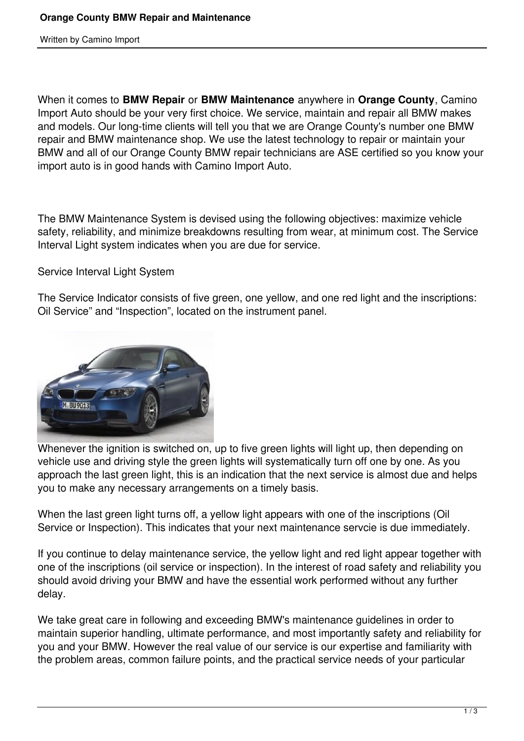Written by Camino Import

When it comes to **BMW Repair** or **BMW Maintenance** anywhere in **Orange County**, Camino Import Auto should be your very first choice. We service, maintain and repair all BMW makes and models. Our long-time clients will tell you that we are Orange County's number one BMW repair and BMW maintenance shop. We use the latest technology to repair or maintain your BMW and all of our Orange County BMW repair technicians are ASE certified so you know your import auto is in good hands with Camino Import Auto.

The BMW Maintenance System is devised using the following objectives: maximize vehicle safety, reliability, and minimize breakdowns resulting from wear, at minimum cost. The Service Interval Light system indicates when you are due for service.

Service Interval Light System

The Service Indicator consists of five green, one yellow, and one red light and the inscriptions: Oil Service" and "Inspection", located on the instrument panel.



Whenever the ignition is switched on, up to five green lights will light up, then depending on vehicle use and driving style the green lights will systematically turn off one by one. As you approach the last green light, this is an indication that the next service is almost due and helps you to make any necessary arrangements on a timely basis.

When the last green light turns off, a yellow light appears with one of the inscriptions (Oil Service or Inspection). This indicates that your next maintenance servcie is due immediately.

If you continue to delay maintenance service, the yellow light and red light appear together with one of the inscriptions (oil service or inspection). In the interest of road safety and reliability you should avoid driving your BMW and have the essential work performed without any further delay.

We take great care in following and exceeding BMW's maintenance guidelines in order to maintain superior handling, ultimate performance, and most importantly safety and reliability for you and your BMW. However the real value of our service is our expertise and familiarity with the problem areas, common failure points, and the practical service needs of your particular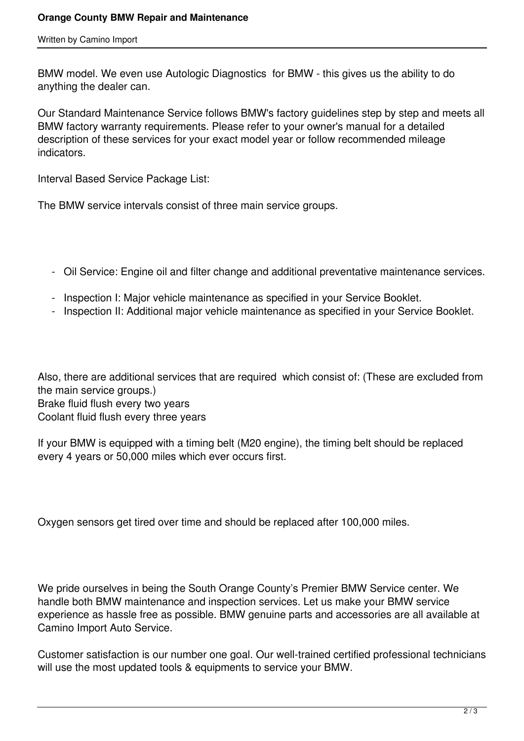Written by Camino Import

BMW model. We even use Autologic Diagnostics for BMW - this gives us the ability to do anything the dealer can.

Our Standard Maintenance Service follows BMW's factory guidelines step by step and meets all BMW factory warranty requirements. Please refer to your owner's manual for a detailed description of these services for your exact model year or follow recommended mileage indicators.

Interval Based Service Package List:

The BMW service intervals consist of three main service groups.

- Oil Service: Engine oil and filter change and additional preventative maintenance services.
- Inspection I: Major vehicle maintenance as specified in your Service Booklet.
- Inspection II: Additional major vehicle maintenance as specified in your Service Booklet.

Also, there are additional services that are required which consist of: (These are excluded from the main service groups.) Brake fluid flush every two years Coolant fluid flush every three years

If your BMW is equipped with a timing belt (M20 engine), the timing belt should be replaced every 4 years or 50,000 miles which ever occurs first.

Oxygen sensors get tired over time and should be replaced after 100,000 miles.

We pride ourselves in being the South Orange County's Premier BMW Service center. We handle both BMW maintenance and inspection services. Let us make your BMW service experience as hassle free as possible. BMW genuine parts and accessories are all available at Camino Import Auto Service.

Customer satisfaction is our number one goal. Our well-trained certified professional technicians will use the most updated tools & equipments to service your BMW.